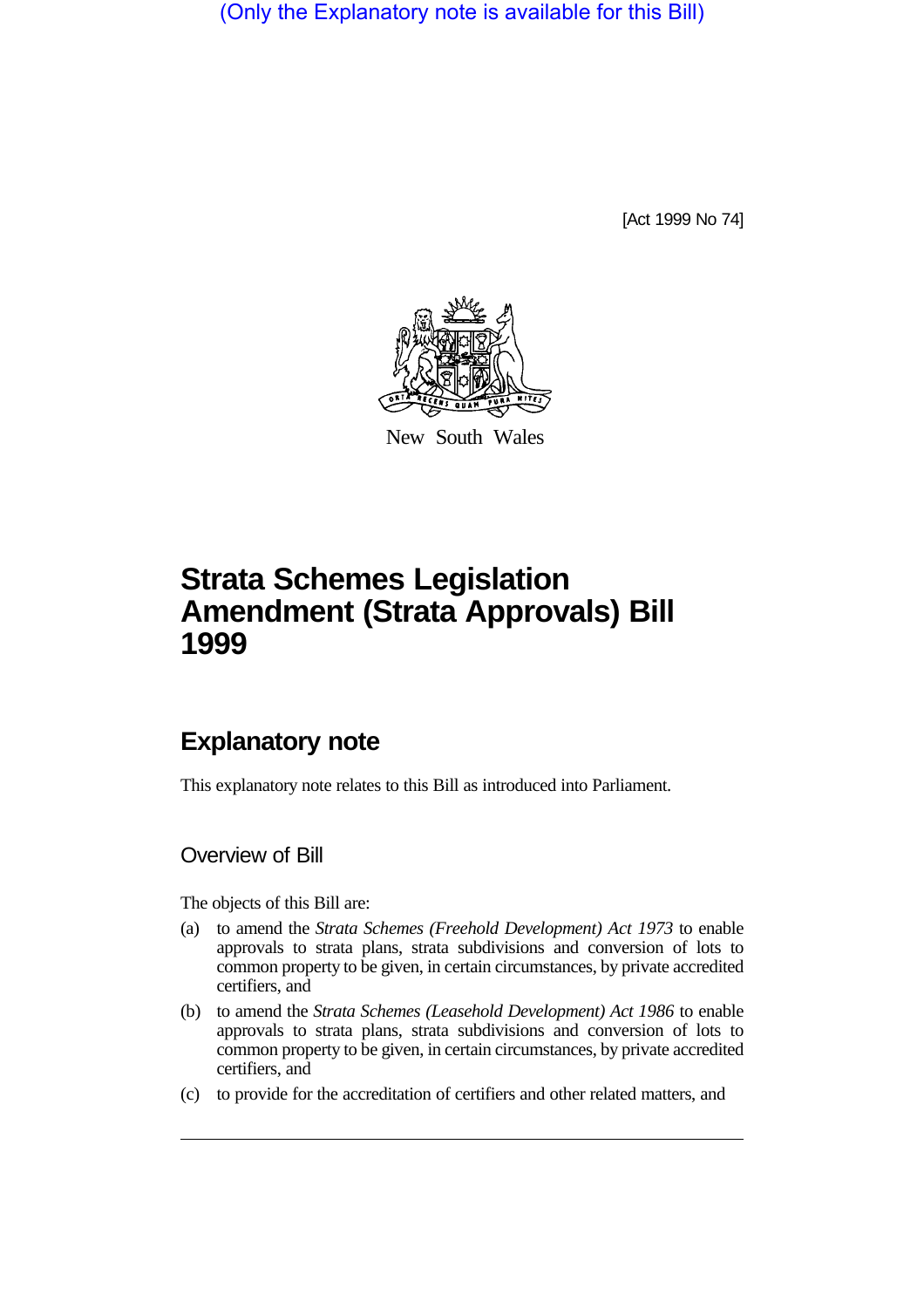(Only the Explanatory note is available for this Bill)

[Act 1999 No 74]



New South Wales

# **Strata Schemes Legislation Amendment (Strata Approvals) Bill 1999**

## **Explanatory note**

This explanatory note relates to this Bill as introduced into Parliament.

#### Overview of Bill

The objects of this Bill are:

- (a) to amend the *Strata Schemes (Freehold Development) Act 1973* to enable approvals to strata plans, strata subdivisions and conversion of lots to common property to be given, in certain circumstances, by private accredited certifiers, and
- (b) to amend the *Strata Schemes (Leasehold Development) Act 1986* to enable approvals to strata plans, strata subdivisions and conversion of lots to common property to be given, in certain circumstances, by private accredited certifiers, and
- (c) to provide for the accreditation of certifiers and other related matters, and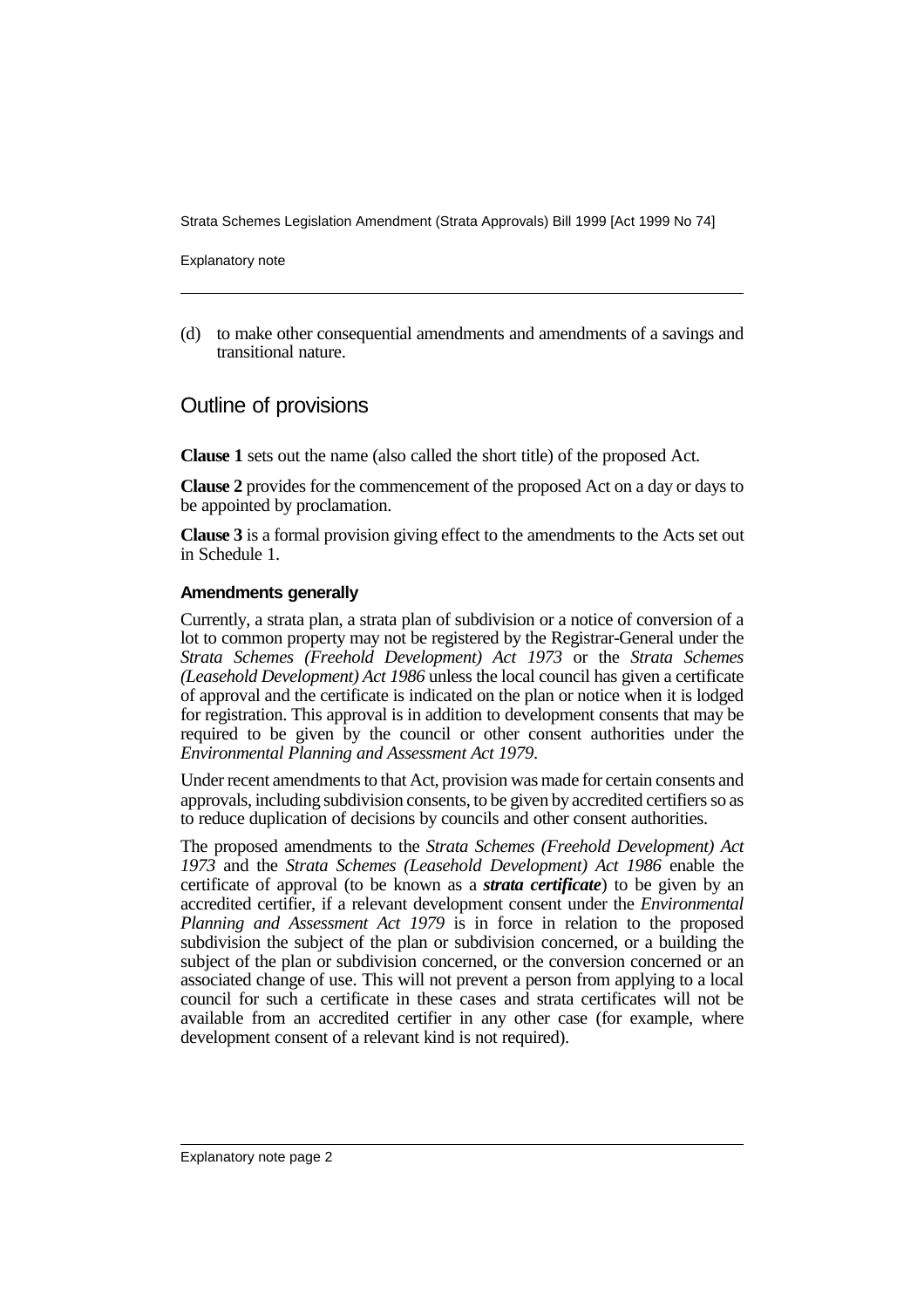Explanatory note

(d) to make other consequential amendments and amendments of a savings and transitional nature.

### Outline of provisions

**Clause 1** sets out the name (also called the short title) of the proposed Act.

**Clause 2** provides for the commencement of the proposed Act on a day or days to be appointed by proclamation.

**Clause 3** is a formal provision giving effect to the amendments to the Acts set out in Schedule 1.

#### **Amendments generally**

Currently, a strata plan, a strata plan of subdivision or a notice of conversion of a lot to common property may not be registered by the Registrar-General under the *Strata Schemes (Freehold Development) Act 1973* or the *Strata Schemes (Leasehold Development) Act 1986* unless the local council has given a certificate of approval and the certificate is indicated on the plan or notice when it is lodged for registration. This approval is in addition to development consents that may be required to be given by the council or other consent authorities under the *Environmental Planning and Assessment Act 1979*.

Under recent amendments to that Act, provision was made for certain consents and approvals, including subdivision consents, to be given by accredited certifiers so as to reduce duplication of decisions by councils and other consent authorities.

The proposed amendments to the *Strata Schemes (Freehold Development) Act 1973* and the *Strata Schemes (Leasehold Development) Act 1986* enable the certificate of approval (to be known as a *strata certificate*) to be given by an accredited certifier, if a relevant development consent under the *Environmental Planning and Assessment Act 1979* is in force in relation to the proposed subdivision the subject of the plan or subdivision concerned, or a building the subject of the plan or subdivision concerned, or the conversion concerned or an associated change of use. This will not prevent a person from applying to a local council for such a certificate in these cases and strata certificates will not be available from an accredited certifier in any other case (for example, where development consent of a relevant kind is not required).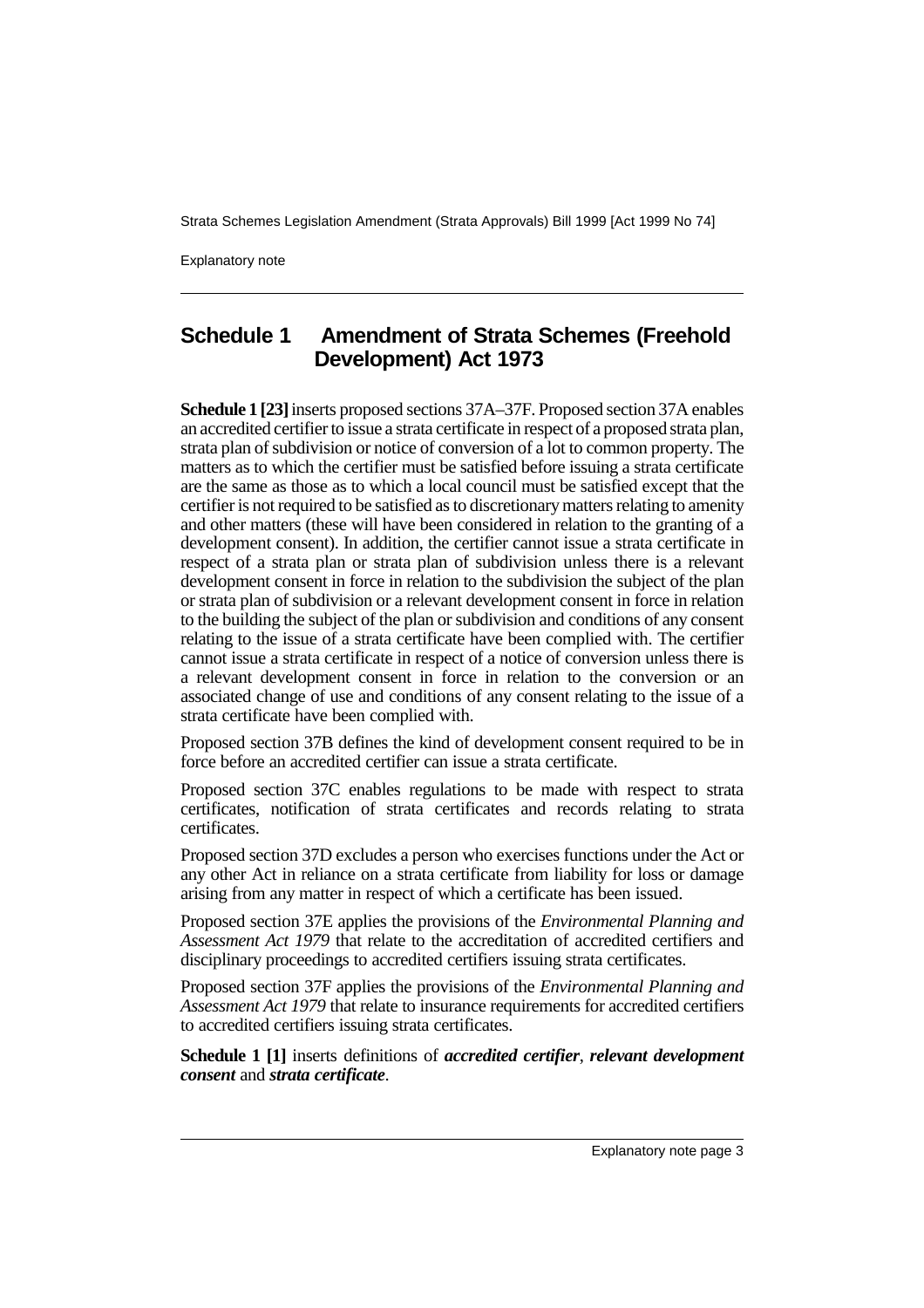Explanatory note

### **Schedule 1 Amendment of Strata Schemes (Freehold Development) Act 1973**

**Schedule 1 [23]** inserts proposed sections 37A–37F. Proposed section 37A enables an accredited certifier to issue a strata certificate in respect of a proposed strata plan, strata plan of subdivision or notice of conversion of a lot to common property. The matters as to which the certifier must be satisfied before issuing a strata certificate are the same as those as to which a local council must be satisfied except that the certifier is not required to be satisfied as to discretionary matters relating to amenity and other matters (these will have been considered in relation to the granting of a development consent). In addition, the certifier cannot issue a strata certificate in respect of a strata plan or strata plan of subdivision unless there is a relevant development consent in force in relation to the subdivision the subject of the plan or strata plan of subdivision or a relevant development consent in force in relation to the building the subject of the plan or subdivision and conditions of any consent relating to the issue of a strata certificate have been complied with. The certifier cannot issue a strata certificate in respect of a notice of conversion unless there is a relevant development consent in force in relation to the conversion or an associated change of use and conditions of any consent relating to the issue of a strata certificate have been complied with.

Proposed section 37B defines the kind of development consent required to be in force before an accredited certifier can issue a strata certificate.

Proposed section 37C enables regulations to be made with respect to strata certificates, notification of strata certificates and records relating to strata certificates.

Proposed section 37D excludes a person who exercises functions under the Act or any other Act in reliance on a strata certificate from liability for loss or damage arising from any matter in respect of which a certificate has been issued.

Proposed section 37E applies the provisions of the *Environmental Planning and Assessment Act 1979* that relate to the accreditation of accredited certifiers and disciplinary proceedings to accredited certifiers issuing strata certificates.

Proposed section 37F applies the provisions of the *Environmental Planning and Assessment Act 1979* that relate to insurance requirements for accredited certifiers to accredited certifiers issuing strata certificates.

**Schedule 1 [1]** inserts definitions of *accredited certifier*, *relevant development consent* and *strata certificate*.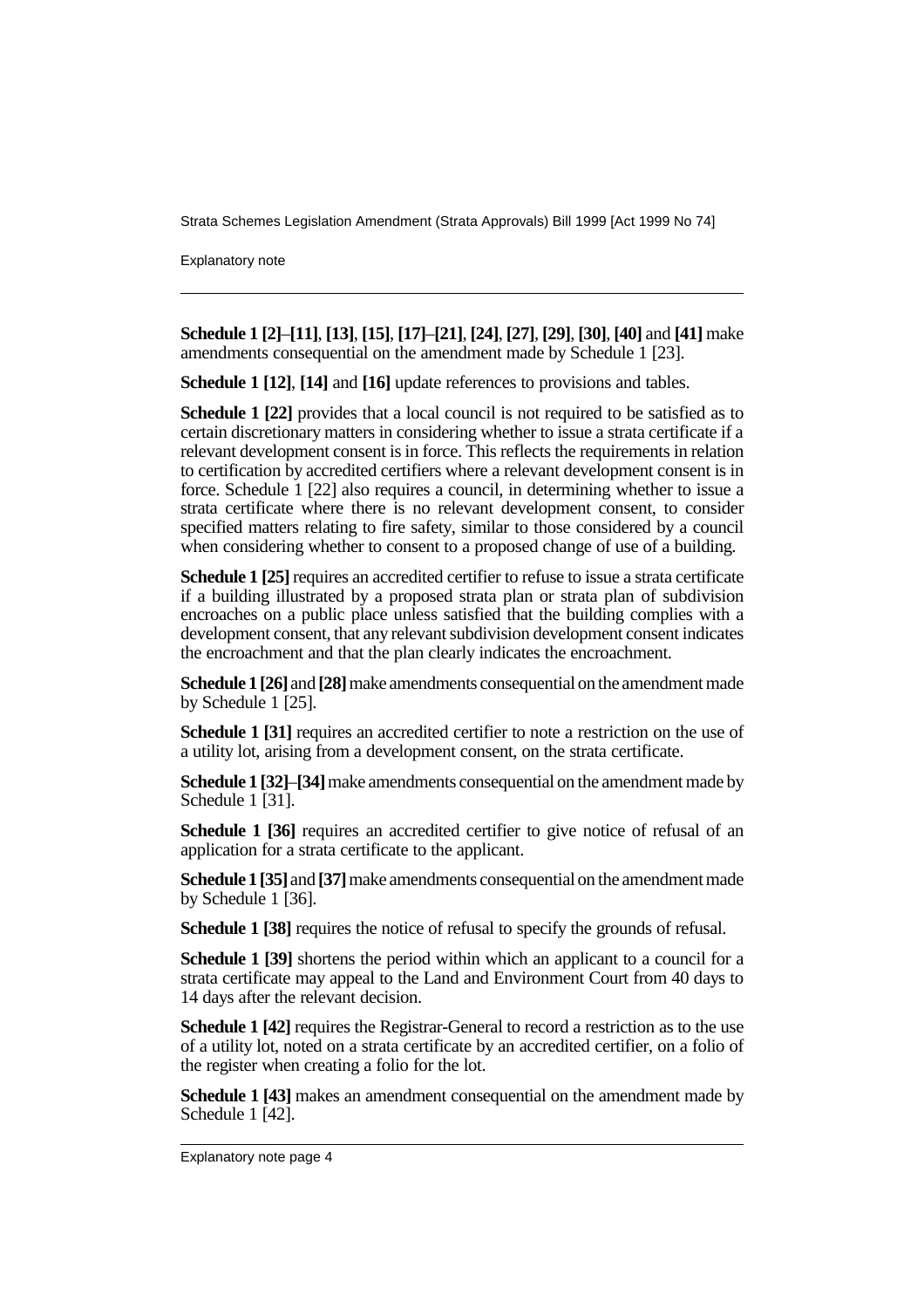Explanatory note

**Schedule 1 [2]**–**[11]**, **[13]**, **[15]**, **[17]**–**[21]**, **[24]**, **[27]**, **[29]**, **[30]**, **[40]** and **[41]** make amendments consequential on the amendment made by Schedule 1 [23].

**Schedule 1 [12]**, **[14]** and **[16]** update references to provisions and tables.

**Schedule 1 [22]** provides that a local council is not required to be satisfied as to certain discretionary matters in considering whether to issue a strata certificate if a relevant development consent is in force. This reflects the requirements in relation to certification by accredited certifiers where a relevant development consent is in force. Schedule 1 [22] also requires a council, in determining whether to issue a strata certificate where there is no relevant development consent, to consider specified matters relating to fire safety, similar to those considered by a council when considering whether to consent to a proposed change of use of a building.

**Schedule 1 [25]** requires an accredited certifier to refuse to issue a strata certificate if a building illustrated by a proposed strata plan or strata plan of subdivision encroaches on a public place unless satisfied that the building complies with a development consent, that any relevant subdivision development consent indicates the encroachment and that the plan clearly indicates the encroachment.

**Schedule 1 [26]** and **[28]** make amendments consequential on the amendment made by Schedule 1 [25].

**Schedule 1 [31]** requires an accredited certifier to note a restriction on the use of a utility lot, arising from a development consent, on the strata certificate.

**Schedule 1 [32]**–**[34]** make amendments consequential on the amendment made by Schedule 1 [31].

**Schedule 1 [36]** requires an accredited certifier to give notice of refusal of an application for a strata certificate to the applicant.

**Schedule 1 [35]** and **[37]** make amendments consequential on the amendment made by Schedule 1 [36].

**Schedule 1 [38]** requires the notice of refusal to specify the grounds of refusal.

**Schedule 1 [39]** shortens the period within which an applicant to a council for a strata certificate may appeal to the Land and Environment Court from 40 days to 14 days after the relevant decision.

**Schedule 1 [42]** requires the Registrar-General to record a restriction as to the use of a utility lot, noted on a strata certificate by an accredited certifier, on a folio of the register when creating a folio for the lot.

**Schedule 1 [43]** makes an amendment consequential on the amendment made by Schedule 1 [42].

Explanatory note page 4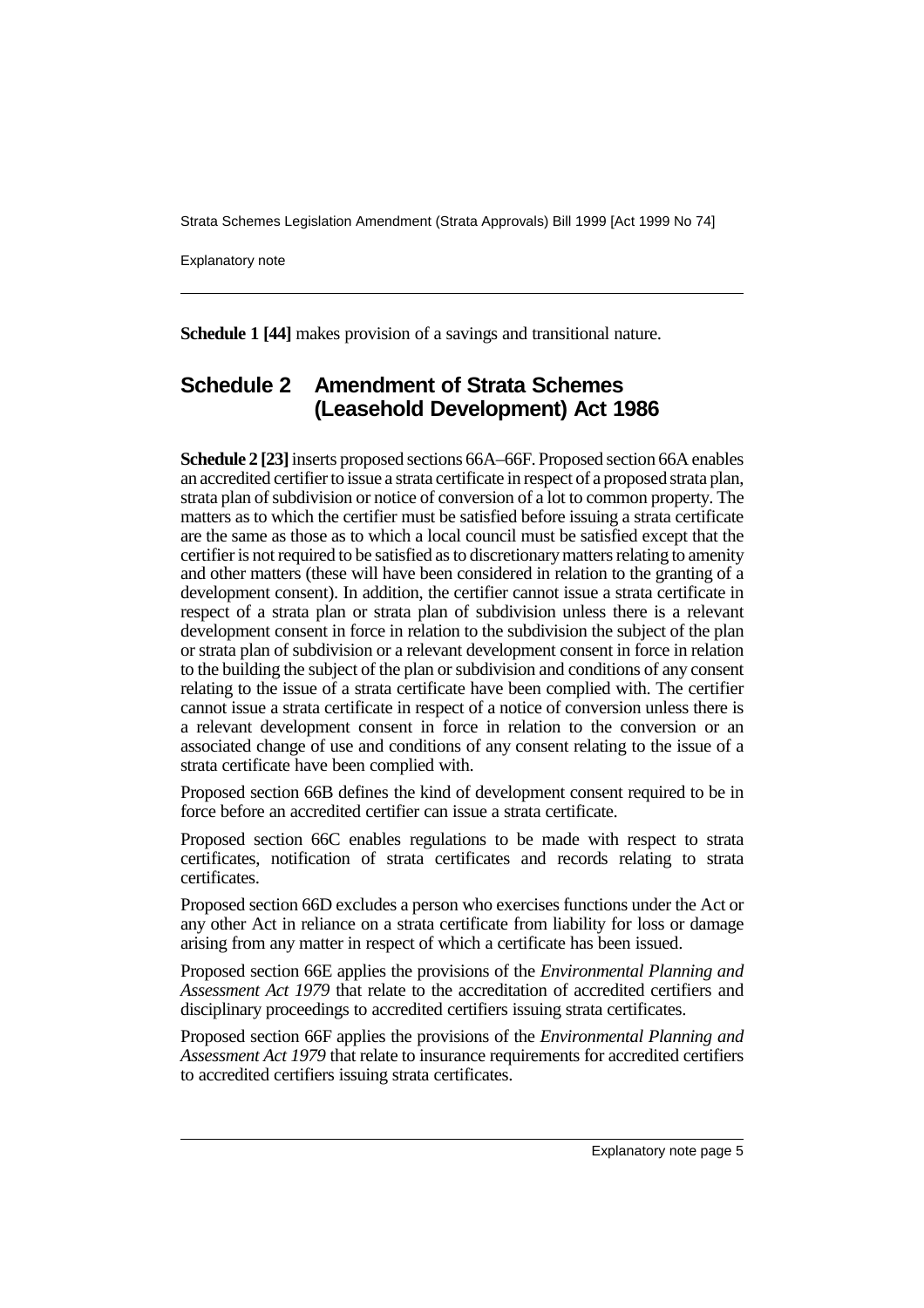Explanatory note

**Schedule 1 [44]** makes provision of a savings and transitional nature.

### **Schedule 2 Amendment of Strata Schemes (Leasehold Development) Act 1986**

**Schedule 2 [23]** inserts proposed sections 66A–66F. Proposed section 66A enables an accredited certifier to issue a strata certificate in respect of a proposed strata plan, strata plan of subdivision or notice of conversion of a lot to common property. The matters as to which the certifier must be satisfied before issuing a strata certificate are the same as those as to which a local council must be satisfied except that the certifier is not required to be satisfied as to discretionary matters relating to amenity and other matters (these will have been considered in relation to the granting of a development consent). In addition, the certifier cannot issue a strata certificate in respect of a strata plan or strata plan of subdivision unless there is a relevant development consent in force in relation to the subdivision the subject of the plan or strata plan of subdivision or a relevant development consent in force in relation to the building the subject of the plan or subdivision and conditions of any consent relating to the issue of a strata certificate have been complied with. The certifier cannot issue a strata certificate in respect of a notice of conversion unless there is a relevant development consent in force in relation to the conversion or an associated change of use and conditions of any consent relating to the issue of a strata certificate have been complied with.

Proposed section 66B defines the kind of development consent required to be in force before an accredited certifier can issue a strata certificate.

Proposed section 66C enables regulations to be made with respect to strata certificates, notification of strata certificates and records relating to strata certificates.

Proposed section 66D excludes a person who exercises functions under the Act or any other Act in reliance on a strata certificate from liability for loss or damage arising from any matter in respect of which a certificate has been issued.

Proposed section 66E applies the provisions of the *Environmental Planning and Assessment Act 1979* that relate to the accreditation of accredited certifiers and disciplinary proceedings to accredited certifiers issuing strata certificates.

Proposed section 66F applies the provisions of the *Environmental Planning and Assessment Act 1979* that relate to insurance requirements for accredited certifiers to accredited certifiers issuing strata certificates.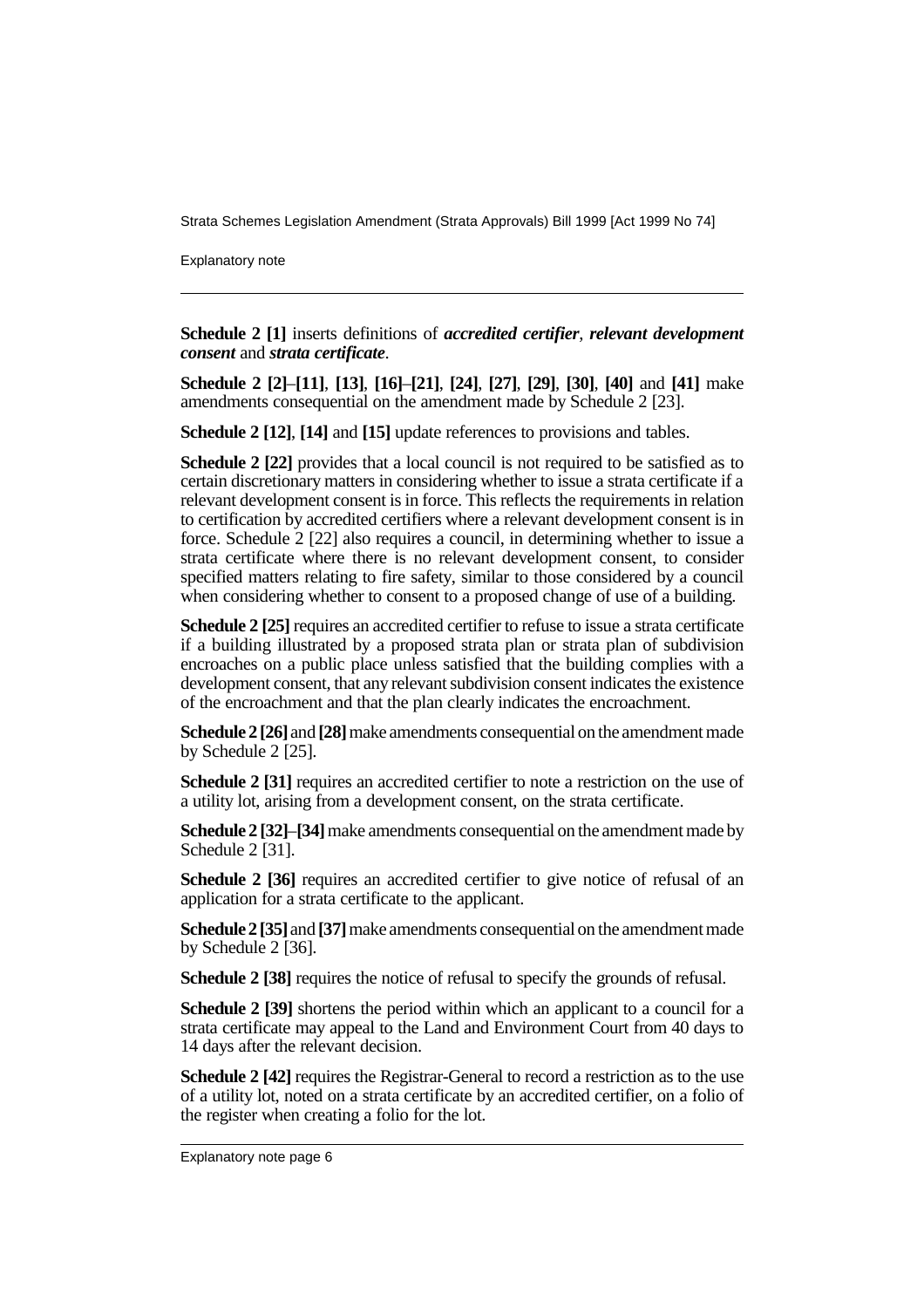Explanatory note

**Schedule 2 [1]** inserts definitions of *accredited certifier*, *relevant development consent* and *strata certificate*.

**Schedule 2 [2]**–**[11]**, **[13]**, **[16]**–**[21]**, **[24]**, **[27]**, **[29]**, **[30]**, **[40]** and **[41]** make amendments consequential on the amendment made by Schedule 2 [23].

**Schedule 2 [12]**, **[14]** and **[15]** update references to provisions and tables.

**Schedule 2 [22]** provides that a local council is not required to be satisfied as to certain discretionary matters in considering whether to issue a strata certificate if a relevant development consent is in force. This reflects the requirements in relation to certification by accredited certifiers where a relevant development consent is in force. Schedule 2 [22] also requires a council, in determining whether to issue a strata certificate where there is no relevant development consent, to consider specified matters relating to fire safety, similar to those considered by a council when considering whether to consent to a proposed change of use of a building.

**Schedule 2 [25]** requires an accredited certifier to refuse to issue a strata certificate if a building illustrated by a proposed strata plan or strata plan of subdivision encroaches on a public place unless satisfied that the building complies with a development consent, that any relevant subdivision consent indicates the existence of the encroachment and that the plan clearly indicates the encroachment.

**Schedule 2 [26]** and **[28]** make amendments consequential on the amendment made by Schedule 2 [25].

**Schedule 2 [31]** requires an accredited certifier to note a restriction on the use of a utility lot, arising from a development consent, on the strata certificate.

**Schedule 2 [32]**–**[34]** make amendments consequential on the amendment made by Schedule 2<sup>[31]</sup>.

**Schedule 2 [36]** requires an accredited certifier to give notice of refusal of an application for a strata certificate to the applicant.

**Schedule 2 [35]** and **[37]** make amendments consequential on the amendment made by Schedule 2 [36].

**Schedule 2 [38]** requires the notice of refusal to specify the grounds of refusal.

**Schedule 2 [39]** shortens the period within which an applicant to a council for a strata certificate may appeal to the Land and Environment Court from 40 days to 14 days after the relevant decision.

**Schedule 2 [42]** requires the Registrar-General to record a restriction as to the use of a utility lot, noted on a strata certificate by an accredited certifier, on a folio of the register when creating a folio for the lot.

Explanatory note page 6